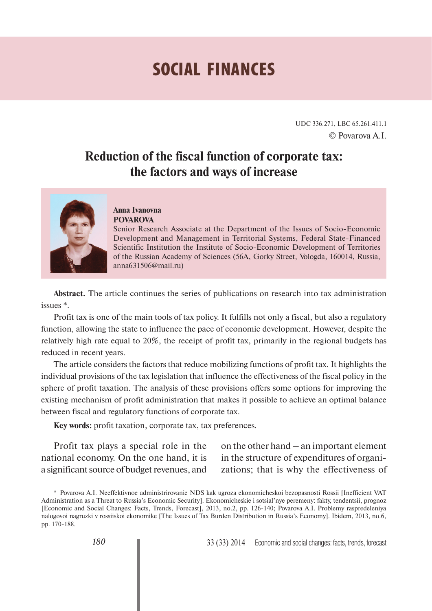# **SOCIAL FINANCES**

UDC 336.271, LBC 65.261.411.1 © Povarova A.I.

# **Reduction of the fiscal function of corporate tax: the factors and ways of increase**



#### **Anna Ivanovna POVAROVA**

Senior Research Associate at the Department of the Issues of Socio-Economic Development and Management in Territorial Systems, Federal State-Financed Scientific Institution the Institute of Socio-Economic Development of Territories of the Russian Academy of Sciences (56A, Gorky Street, Vologda, 160014, Russia, anna631506@mail.ru)

**Abstract.** The article continues the series of publications on research into tax administration issues \*.

Profit tax is one of the main tools of tax policy. It fulfills not only a fiscal, but also a regulatory function, allowing the state to influence the pace of economic development. However, despite the relatively high rate equal to 20%, the receipt of profit tax, primarily in the regional budgets has reduced in recent years.

The article considers the factors that reduce mobilizing functions of profit tax. It highlights the individual provisions of the tax legislation that influence the effectiveness of the fiscal policy in the sphere of profit taxation. The analysis of these provisions offers some options for improving the existing mechanism of profit administration that makes it possible to achieve an optimal balance between fiscal and regulatory functions of corporate tax.

**Key words:** profit taxation, corporate tax, tax preferences.

Profit tax plays a special role in the national economy. On the one hand, it is a significant source of budget revenues, and

on the other hand – an important element in the structure of expenditures of organizations; that is why the effectiveness of

<sup>\*</sup> Povarova A.I. Neeffektivnoe administrirovanie NDS kak ugroza ekonomicheskoi bezopasnosti Rossii [Inefficient VAT Administration as a Threat to Russia's Economic Security]. Ekonomicheskie i sotsial'nye peremeny: fakty, tendentsii, prognoz [Economic and Social Changes: Facts, Trends, Forecast], 2013, no.2, pp. 126-140; Povarova A.I. Problemy raspredeleniya nalogovoi nagruzki v rossiiskoi ekonomike [The Issues of Tax Burden Distribution in Russia's Economy]. Ibidem, 2013, no.6, pp. 170-188.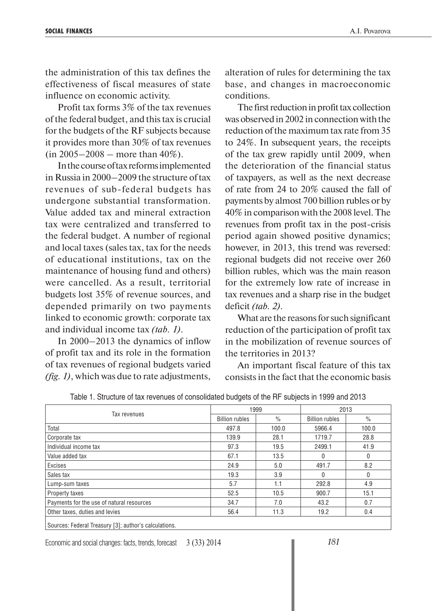the administration of this tax defines the effectiveness of fiscal measures of state influence on economic activity.

Profit tax forms 3% of the tax revenues of the federal budget, and this tax is crucial for the budgets of the RF subjects because it provides more than 30% of tax revenues  $(in 2005 - 2008 - more than 40\%).$ 

In the course of tax reforms implemented in Russia in 2000–2009 the structure of tax revenues of sub-federal budgets has undergone substantial transformation. Value added tax and mineral extraction tax were centralized and transferred to the federal budget. A number of regional and local taxes (sales tax, tax for the needs of educational institutions, tax on the maintenance of housing fund and others) were cancelled. As a result, territorial budgets lost 35% of revenue sources, and depended primarily on two payments linked to economic growth: corporate tax and individual income tax *(tab. 1)*.

In 2000–2013 the dynamics of inflow of profit tax and its role in the formation of tax revenues of regional budgets varied *(fig. 1)*, which was due to rate adjustments,

alteration of rules for determining the tax base, and changes in macroeconomic conditions.

The first reduction in profit tax collection was observed in 2002 in connection with the reduction of the maximum tax rate from 35 to 24%. In subsequent years, the receipts of the tax grew rapidly until 2009, when the deterioration of the financial status of taxpayers, as well as the next decrease of rate from 24 to 20% caused the fall of payments by almost 700 billion rubles or by 40% in comparison with the 2008 level. The revenues from profit tax in the post-crisis period again showed positive dynamics; however, in 2013, this trend was reversed: regional budgets did not receive over 260 billion rubles, which was the main reason for the extremely low rate of increase in tax revenues and a sharp rise in the budget deficit *(tab. 2)*.

What are the reasons for such significant reduction of the participation of profit tax in the mobilization of revenue sources of the territories in 2013?

An important fiscal feature of this tax consists in the fact that the economic basis

|                                           | 1999                  |       | 2013                  |              |  |
|-------------------------------------------|-----------------------|-------|-----------------------|--------------|--|
| Tax revenues                              | <b>Billion rubles</b> | $\%$  | <b>Billion rubles</b> | $\%$         |  |
| Total                                     | 497.8                 | 100.0 | 5966.4                | 100.0        |  |
| Corporate tax                             | 139.9                 | 28.1  | 1719.7                | 28.8         |  |
| Individual income tax                     | 97.3                  | 19.5  | 2499.1                | 41.9         |  |
| Value added tax                           | 67.1                  | 13.5  | 0                     | 0            |  |
| Excises                                   | 24.9                  | 5.0   | 491.7                 | 8.2          |  |
| Sales tax                                 | 19.3                  | 3.9   | 0                     | $\mathbf{0}$ |  |
| Lump-sum taxes                            | 5.7                   | 1.1   | 292.8                 | 4.9          |  |
| <b>Property taxes</b>                     | 52.5                  | 10.5  | 900.7                 | 15.1         |  |
| Payments for the use of natural resources | 34.7                  | 7.0   | 43.2                  | 0.7          |  |
| Other taxes, duties and levies            | 56.4                  | 11.3  | 19.2                  | 0.4          |  |
|                                           |                       |       |                       |              |  |

Table 1. Structure of tax revenues of consolidated budgets of the RF subjects in 1999 and 2013

Sources: Federal Treasury [3]; author's calculations.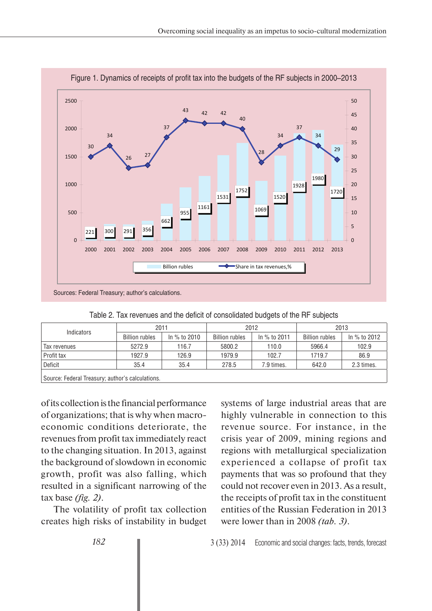

|  |  |  | Figure 1. Dynamics of receipts of profit tax into the budgets of the RF subjects in 2000–2013 |
|--|--|--|-----------------------------------------------------------------------------------------------|
|  |  |  |                                                                                               |

| Indicators                                       | 2011                  |              | 2012                  |              | 2013                  |              |  |  |
|--------------------------------------------------|-----------------------|--------------|-----------------------|--------------|-----------------------|--------------|--|--|
|                                                  | <b>Billion rubles</b> | In % to 2010 | <b>Billion rubles</b> | In % to 2011 | <b>Billion rubles</b> | In % to 2012 |  |  |
| Tax revenues                                     | 5272.9                | 116.7        | 5800.2                | 110.0        | 5966.4                | 102.9        |  |  |
| Profit tax                                       | 1927.9                | 126.9        | 1979.9                | 102.7        | 1719.7                | 86.9         |  |  |
| <b>Deficit</b>                                   | 35.4                  | 35.4         | 278.5                 | 7.9 times.   | 642.0                 | 2.3 times.   |  |  |
| Source: Federal Treasury; author's calculations. |                       |              |                       |              |                       |              |  |  |

Table 2. Tax revenues and the deficit of consolidated budgets of the RF subjects

of its collection is the financial performance of organizations; that is why when macroeconomic conditions deteriorate, the revenues from profit tax immediately react to the changing situation. In 2013, against the background of slowdown in economic growth, profit was also falling, which resulted in a significant narrowing of the tax base *(fig. 2)*.

The volatility of profit tax collection creates high risks of instability in budget systems of large industrial areas that are highly vulnerable in connection to this revenue source. For instance, in the crisis year of 2009, mining regions and regions with metallurgical specialization experienced a collapse of profit tax payments that was so profound that they could not recover even in 2013. As a result, the receipts of profit tax in the constituent entities of the Russian Federation in 2013 were lower than in 2008 *(tab. 3)*.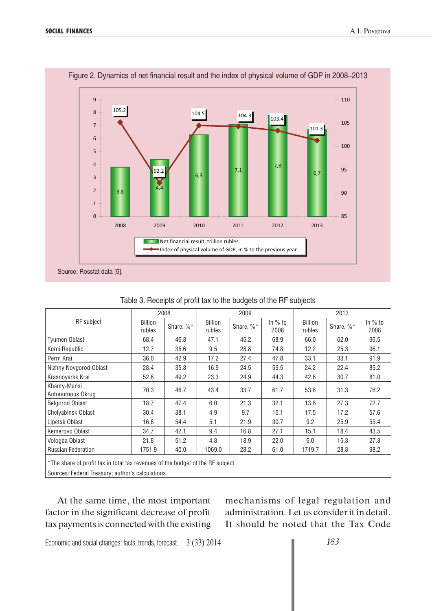

|  | Figure 2. Dynamics of net financial result and the index of physical volume of GDP in 2008-2013 |
|--|-------------------------------------------------------------------------------------------------|
|  |                                                                                                 |

|                                                                                                                                      | 2008                     |           |                          | 2009      |                   | 2013                     |           |                   |  |  |
|--------------------------------------------------------------------------------------------------------------------------------------|--------------------------|-----------|--------------------------|-----------|-------------------|--------------------------|-----------|-------------------|--|--|
| <b>RF</b> subject                                                                                                                    | <b>Billion</b><br>rubles | Share, %* | <b>Billion</b><br>rubles | Share, %* | In $%$ to<br>2008 | <b>Billion</b><br>rubles | Share, %* | In $%$ to<br>2008 |  |  |
| Tyumen Oblast                                                                                                                        | 68.4                     | 46.8      | 47.1                     | 45.2      | 68.9              | 66.0                     | 62.0      | 96.5              |  |  |
| Komi Republic                                                                                                                        | 12.7                     | 35.6      | 9.5                      | 28.8      | 74.8              | 12.2                     | 25.3      | 96.1              |  |  |
| Perm Krai                                                                                                                            | 36.0                     | 42.9      | 17.2                     | 27.4      | 47.8              | 33.1                     | 33.1      | 91.9              |  |  |
| Nizhny Novgorod Oblast                                                                                                               | 28.4                     | 35.8      | 16.9                     | 24.5      | 59.5              | 24.2                     | 22.4      | 85.2              |  |  |
| Krasnoyarsk Krai                                                                                                                     | 52.6                     | 49.2      | 23.3                     | 24.9      | 44.3              | 42.6                     | 30.7      | 81.0              |  |  |
| Khanty-Mansi<br>Autonomous Okrug                                                                                                     | 70.3                     | 46.7      | 43.4                     | 33.7      | 61.7              | 53.6                     | 31.3      | 76.2              |  |  |
| <b>Belgorod Oblast</b>                                                                                                               | 18.7                     | 47.4      | 6.0                      | 21.3      | 32.1              | 13.6                     | 27.3      | 72.7              |  |  |
| <b>Chelyabinsk Oblast</b>                                                                                                            | 30.4                     | 38.1      | 4.9                      | 9.7       | 16.1              | 17.5                     | 17.2      | 57.6              |  |  |
| Lipetsk Oblast                                                                                                                       | 16.6                     | 54.4      | 5.1                      | 21.9      | 30.7              | 9.2                      | 25.9      | 55.4              |  |  |
| Kemerovo Oblast                                                                                                                      | 34.7                     | 42.1      | 9.4                      | 16.8      | 27.1              | 15.1                     | 18.4      | 43.5              |  |  |
| Vologda Oblast                                                                                                                       | 21.8                     | 51.2      | 4.8                      | 18.9      | 22.0              | 6.0                      | 15.3      | 27.3              |  |  |
| <b>Russian Federation</b>                                                                                                            | 1751.9                   | 40.0      | 1069.0                   | 28.2      | 61.0              | 1719.7                   | 28.8      | 98.2              |  |  |
| *The share of profit tax in total tax revenues of the budget of the RF subject.<br>Sources: Federal Treasury; author's calculations. |                          |           |                          |           |                   |                          |           |                   |  |  |

#### Table 3. Receipts of profit tax to the budgets of the RF subjects

At the same time, the most important factor in the significant decrease of profit tax payments is connected with the existing mechanisms of legal regulation and administration. Let us consider it in detail. It should be noted that the Tax Code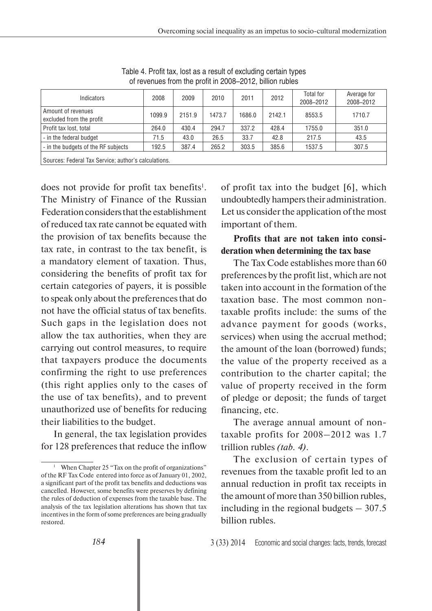| Indicators                                           | 2008   | 2009   | 2010   | 2011   | 2012   | Total for<br>2008-2012 | Average for<br>2008-2012 |  |  |
|------------------------------------------------------|--------|--------|--------|--------|--------|------------------------|--------------------------|--|--|
| Amount of revenues<br>excluded from the profit       | 1099.9 | 2151.9 | 1473.7 | 1686.0 | 2142.1 | 8553.5                 | 1710.7                   |  |  |
| Profit tax lost, total                               | 264.0  | 430.4  | 294.7  | 337.2  | 428.4  | 1755.0                 | 351.0                    |  |  |
| - in the federal budget                              | 71.5   | 43.0   | 26.5   | 33.7   | 42.8   | 217.5                  | 43.5                     |  |  |
| - in the budgets of the RF subjects                  | 192.5  | 387.4  | 265.2  | 303.5  | 385.6  | 1537.5                 | 307.5                    |  |  |
| Sources: Federal Tax Service; author's calculations. |        |        |        |        |        |                        |                          |  |  |

Table 4. Profit tax, lost as a result of excluding certain types of revenues from the profit in 2008–2012, billion rubles

does not provide for profit tax benefits<sup>1</sup>. The Ministry of Finance of the Russian Federation considers that the establishment of reduced tax rate cannot be equated with the provision of tax benefits because the tax rate, in contrast to the tax benefit, is a mandatory element of taxation. Thus, considering the benefits of profit tax for certain categories of payers, it is possible to speak only about the preferences that do not have the official status of tax benefits. Such gaps in the legislation does not allow the tax authorities, when they are carrying out control measures, to require that taxpayers produce the documents confirming the right to use preferences (this right applies only to the cases of the use of tax benefits), and to prevent unauthorized use of benefits for reducing their liabilities to the budget.

In general, the tax legislation provides for 128 preferences that reduce the inflow of profit tax into the budget [6], which undoubtedly hampers their administration. Let us consider the application of the most important of them.

## **Profits that are not taken into consideration when determining the tax base**

The Tax Code establishes more than 60 preferences by the profit list, which are not taken into account in the formation of the taxation base. The most common nontaxable profits include: the sums of the advance payment for goods (works, services) when using the accrual method; the amount of the loan (borrowed) funds; the value of the property received as a contribution to the charter capital; the value of property received in the form of pledge or deposit; the funds of target financing, etc.

The average annual amount of nontaxable profits for 2008–2012 was 1.7 trillion rubles *(tab. 4)*.

The exclusion of certain types of revenues from the taxable profit led to an annual reduction in profit tax receipts in the amount of more than 350 billion rubles, including in the regional budgets  $-307.5$ billion rubles.

<sup>&</sup>lt;sup>1</sup> When Chapter 25 "Tax on the profit of organizations" of the RF Tax Code entered into force as of January 01, 2002, a significant part of the profit tax benefits and deductions was cancelled. However, some benefits were preserves by defining the rules of deduction of expenses from the taxable base. The analysis of the tax legislation alterations has shown that tax incentives in the form of some preferences are being gradually restored.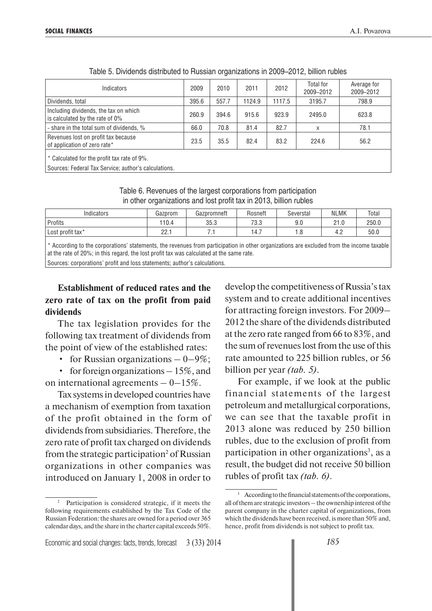| Indicators                                                                                          | 2009  | 2010  | 2011   | 2012   | Total for<br>2009-2012 | Average for<br>2009-2012 |
|-----------------------------------------------------------------------------------------------------|-------|-------|--------|--------|------------------------|--------------------------|
| Dividends, total                                                                                    | 395.6 | 557.7 | 1124.9 | 1117.5 | 3195.7                 | 798.9                    |
| Including dividends, the tax on which<br>is calculated by the rate of 0%                            | 260.9 | 394.6 | 915.6  | 923.9  | 2495.0                 | 623.8                    |
| - share in the total sum of dividends, %                                                            | 66.0  | 70.8  | 81.4   | 82.7   | X                      | 78.1                     |
| Revenues lost on profit tax because<br>of application of zero rate*                                 | 23.5  | 35.5  | 82.4   | 83.2   | 224.6                  | 56.2                     |
| * Calculated for the profit tax rate of 9%.<br>Sources: Federal Tax Service; author's calculations. |       |       |        |        |                        |                          |

Table 5. Dividends distributed to Russian organizations in 2009–2012, billion rubles

Table 6. Revenues of the largest corporations from participation in other organizations and lost profit tax in 2013, billion rubles

| $\cdots$<br>Indicators | Gazprom     | Gazpromneft | Rosneft     | Severstal | <b>NLMK</b>   | Total |
|------------------------|-------------|-------------|-------------|-----------|---------------|-------|
| Profits                | 110.4       | 35.3        | ר פר<br>.აა | 9.0       | 21.0          | 250.0 |
| profit tax*<br>Lost    | nn<br>22. I |             | -<br>14.,   | ט.ו       | $\sim$<br>т.∠ | 50.0  |

\* According to the corporations' statements, the revenues from participation in other organizations are excluded from the income taxable at the rate of 20%; in this regard, the lost profit tax was calculated at the same rate. Sources: corporations' profit and loss statements; author's calculations.

**Establishment of reduced rates and the zero rate of tax on the profit from paid** 

# **dividends**

The tax legislation provides for the following tax treatment of dividends from the point of view of the established rates:

• for Russian organizations  $-0-9\%$ ;

• for foreign organizations – 15%, and on international agreements  $-0$  – 15%.

Tax systems in developed countries have a mechanism of exemption from taxation of the profit obtained in the form of dividends from subsidiaries. Therefore, the zero rate of profit tax charged on dividends from the strategic participation<sup>2</sup> of Russian organizations in other companies was introduced on January 1, 2008 in order to

Economic and social changes: facts, trends, forecast 3 (33) 2014

develop the competitiveness of Russia's tax system and to create additional incentives for attracting foreign investors. For 2009– 2012 the share of the dividends distributed at the zero rate ranged from 66 to 83%, and the sum of revenues lost from the use of this rate amounted to 225 billion rubles, or 56 billion per year *(tab. 5)*.

For example, if we look at the public financial statements of the largest petroleum and metallurgical corporations, we can see that the taxable profit in 2013 alone was reduced by 250 billion rubles, due to the exclusion of profit from participation in other organizations<sup>3</sup>, as a result, the budget did not receive 50 billion rubles of profit tax *(tab. 6)*.

<sup>2</sup> Participation is considered strategic, if it meets the following requirements established by the Tax Code of the Russian Federation: the shares are owned for a period over 365 calendar days, and the share in the charter capital exceeds 50%.

<sup>3</sup> According to the financial statements of the corporations, all of them are strategic investors – the ownership interest of the parent company in the charter capital of organizations, from which the dividends have been received, is more than 50% and, hence, profit from dividends is not subject to profit tax.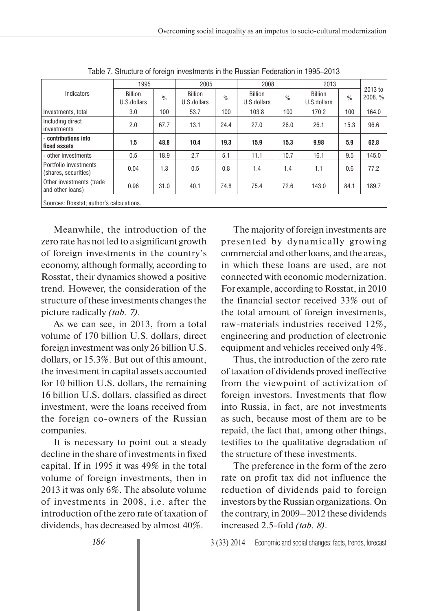|                                               | 1995                          |               | 2005                          |               |                               | 2008          |                               |               |                    |
|-----------------------------------------------|-------------------------------|---------------|-------------------------------|---------------|-------------------------------|---------------|-------------------------------|---------------|--------------------|
| Indicators                                    | <b>Billion</b><br>U.S.dollars | $\frac{0}{0}$ | <b>Billion</b><br>U.S.dollars | $\frac{0}{0}$ | <b>Billion</b><br>U.S.dollars | $\frac{0}{0}$ | <b>Billion</b><br>U.S.dollars | $\frac{0}{0}$ | 2013 to<br>2008, % |
| Investments, total                            | 3.0                           | 100           | 53.7                          | 100           | 103.8                         | 100           | 170.2                         | 100           | 164.0              |
| Including direct<br>investments               | 2.0                           | 67.7          | 13.1                          | 24.4          | 27.0                          | 26.0          | 26.1                          | 15.3          | 96.6               |
| - contributions into<br>fixed assets          | 1.5                           | 48.8          | 10.4                          | 19.3          | 15.9                          | 15.3          | 9.98                          | 5.9           | 62.8               |
| - other investments                           | 0.5                           | 18.9          | 2.7                           | 5.1           | 11.1                          | 10.7          | 16.1                          | 9.5           | 145.0              |
| Portfolio investments<br>(shares, securities) | 0.04                          | 1.3           | 0.5                           | 0.8           | 1.4                           | 1.4           | 1.1                           | 0.6           | 77.2               |
| Other investments (trade<br>and other loans)  | 0.96                          | 31.0          | 40.1                          | 74.8          | 75.4                          | 72.6          | 143.0                         | 84.1          | 189.7              |
| Sources: Rosstat; author's calculations.      |                               |               |                               |               |                               |               |                               |               |                    |

Table 7. Structure of foreign investments in the Russian Federation in 1995–2013

Meanwhile, the introduction of the zero rate has not led to a significant growth of foreign investments in the country's economy, although formally, according to Rosstat, their dynamics showed a positive trend. However, the consideration of the structure of these investments changes the picture radically *(tab. 7)*.

As we can see, in 2013, from a total volume of 170 billion U.S. dollars, direct foreign investment was only 26 billion U.S. dollars, or 15.3%. But out of this amount, the investment in capital assets accounted for 10 billion U.S. dollars, the remaining 16 billion U.S. dollars, classified as direct investment, were the loans received from the foreign co-owners of the Russian companies.

It is necessary to point out a steady decline in the share of investments in fixed capital. If in 1995 it was 49% in the total volume of foreign investments, then in 2013 it was only 6%. The absolute volume of investments in 2008, i.e. after the introduction of the zero rate of taxation of dividends, has decreased by almost 40%.

The majority of foreign investments are presented by dynamically growing commercial and other loans, and the areas, in which these loans are used, are not connected with economic modernization. For example, according to Rosstat, in 2010 the financial sector received 33% out of the total amount of foreign investments, raw-materials industries received 12%, engineering and production of electronic equipment and vehicles received only 4%.

Thus, the introduction of the zero rate of taxation of dividends proved ineffective from the viewpoint of activization of foreign investors. Investments that flow into Russia, in fact, are not investments as such, because most of them are to be repaid, the fact that, among other things, testifies to the qualitative degradation of the structure of these investments.

The preference in the form of the zero rate on profit tax did not influence the reduction of dividends paid to foreign investors by the Russian organizations. On the contrary, in 2009–2012 these dividends increased 2.5-fold *(tab. 8)*.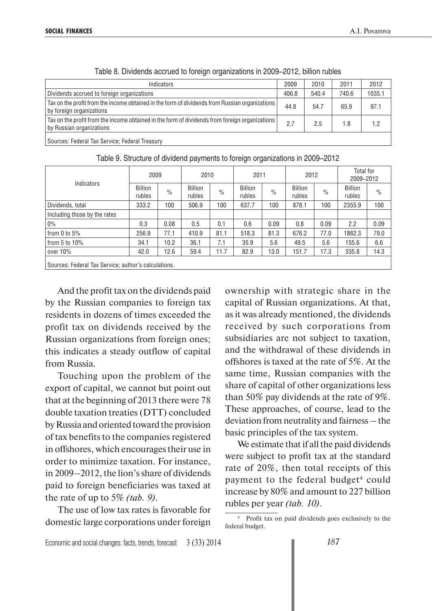| Indicators                                                                                                                 | 2009  | 2010  | 2011  | 2012   |
|----------------------------------------------------------------------------------------------------------------------------|-------|-------|-------|--------|
| Dividends accrued to foreign organizations                                                                                 | 406.8 | 540.4 | 740.6 | 1035.1 |
| Tax on the profit from the income obtained in the form of dividends from Russian organizations<br>by foreign organizations | 44.8  | 54.7  | 65.9  | 97.1   |
| Tax on the profit from the income obtained in the form of dividends from foreign organizations<br>by Russian organizations |       | 2.5   | 1.8   | 1.2    |
| Sources: Federal Tax Service; Federal Treasury                                                                             |       |       |       |        |

|  |  | Table 8. Dividends accrued to foreign organizations in 2009–2012, billion rubles |  |  |
|--|--|----------------------------------------------------------------------------------|--|--|
|  |  |                                                                                  |  |  |

Indicators 2009 2010 2011 2012 Total for 2009–2012 Billion Billion <sub>%</sub> Billion <sub>%</sub> Billion<br>rubles <sup>%</sup> rubles <sup>%</sup> rubles rubles % Billion rubles % Billion rubles % Dividends, total 333.2 100 506.9 100 637.7 100 878.1 100 2355.9 100 Including those by the rates 0% 0.3 0.08 0.5 0.1 0.6 0.09 0.8 0.09 2.2 0.09 from 0 to 5% 256.9 77.1 410.9 81.1 518.3 81.3 676.2 77.0 1862.3 79.0 from 5 to 10% | 34.1 | 10.2 | 36.1 | 7.1 | 35.9 | 5.6 | 49.5 | 5.6 | 155.6 | 6.6 over 10% | 42.0 | 12.6 | 59.4 | 11.7 | 82.9 | 13.0 | 151.7 | 17.3 | 335.8 | 14.3 Sources: Federal Tax Service; author's calculations.

Table 9. Structure of dividend payments to foreign organizations in 2009–2012

And the profit tax on the dividends paid by the Russian companies to foreign tax residents in dozens of times exceeded the profit tax on dividends received by the Russian organizations from foreign ones; this indicates a steady outflow of capital from Russia.

Touching upon the problem of the export of capital, we cannot but point out that at the beginning of 2013 there were 78 double taxation treaties (DTT) concluded by Russia and oriented toward the provision of tax benefits to the companies registered in offshores, which encourages their use in order to minimize taxation. For instance, in 2009–2012, the lion's share of dividends paid to foreign beneficiaries was taxed at the rate of up to 5% *(tab. 9)*.

The use of low tax rates is favorable for domestic large corporations under foreign

ownership with strategic share in the capital of Russian organizations. At that, as it was already mentioned, the dividends received by such corporations from subsidiaries are not subject to taxation, and the withdrawal of these dividends in offshores is taxed at the rate of 5%. At the same time, Russian companies with the share of capital of other organizations less than 50% pay dividends at the rate of 9%. These approaches, of course, lead to the deviation from neutrality and fairness – the basic principles of the tax system.

We estimate that if all the paid dividends were subject to profit tax at the standard rate of 20%, then total receipts of this payment to the federal budget<sup>4</sup> could increase by 80% and amount to 227 billion rubles per year *(tab. 10)*.

<sup>4</sup> Profit tax on paid dividends goes exclusively to the federal budget.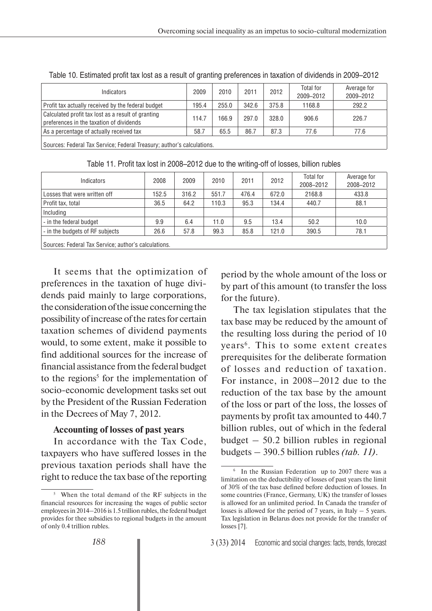| Indicators                                                                                                                                                                                                                                                                                                                                                                          | 2009  | 2010  | 2011  | 2012  | Total for<br>2009-2012 | Average for<br>2009-2012 |
|-------------------------------------------------------------------------------------------------------------------------------------------------------------------------------------------------------------------------------------------------------------------------------------------------------------------------------------------------------------------------------------|-------|-------|-------|-------|------------------------|--------------------------|
| Profit tax actually received by the federal budget                                                                                                                                                                                                                                                                                                                                  | 195.4 | 255.0 | 342.6 | 375.8 | 1168.8                 | 292.2                    |
| Calculated profit tax lost as a result of granting<br>preferences in the taxation of dividends                                                                                                                                                                                                                                                                                      | 114.7 | 166.9 | 297.0 | 328.0 | 906.6                  | 226.7                    |
| As a percentage of actually received tax                                                                                                                                                                                                                                                                                                                                            | 58.7  | 65.5  | 86.7  | 87.3  | 77.6                   | 77.6                     |
| $\mathsf{L} \bullet$ . The contract $\mathsf{L} \bullet \mathsf{L}$ and $\mathsf{L} \bullet \mathsf{L}$ and $\mathsf{L} \bullet \mathsf{L}$ and $\mathsf{L} \bullet \mathsf{L}$ and $\mathsf{L} \bullet \mathsf{L}$ and $\mathsf{L} \bullet \mathsf{L}$ and $\mathsf{L} \bullet \mathsf{L}$ and $\mathsf{L} \bullet \mathsf{L}$ and $\mathsf{L} \bullet \mathsf{L}$ and $\mathsf{L$ |       |       |       |       |                        |                          |

Table 10. Estimated profit tax lost as a result of granting preferences in taxation of dividends in 2009–2012

Sources: Federal Tax Service; Federal Treasury; author's calculations.

| Indicators                                           | 2008  | 2009  | 2010  | 2011  | 2012  | Total for<br>2008-2012 | Average for<br>2008-2012 |
|------------------------------------------------------|-------|-------|-------|-------|-------|------------------------|--------------------------|
| Losses that were written off                         | 152.5 | 316.2 | 551.7 | 476.4 | 672.0 | 2168.8                 | 433.8                    |
| Profit tax, total                                    | 36.5  | 64.2  | 110.3 | 95.3  | 134.4 | 440.7                  | 88.1                     |
| Including                                            |       |       |       |       |       |                        |                          |
| - in the federal budget                              | 9.9   | 6.4   | 11.0  | 9.5   | 13.4  | 50.2                   | 10.0                     |
| - in the budgets of RF subjects                      | 26.6  | 57.8  | 99.3  | 85.8  | 121.0 | 390.5                  | 78.1                     |
| Sources: Federal Tax Service; author's calculations. |       |       |       |       |       |                        |                          |

Table 11. Profit tax lost in 2008–2012 due to the writing-off of losses, billion rubles

It seems that the optimization of preferences in the taxation of huge dividends paid mainly to large corporations, the consideration of the issue concerning the possibility of increase of the rates for certain taxation schemes of dividend payments would, to some extent, make it possible to find additional sources for the increase of financial assistance from the federal budget to the regions<sup>5</sup> for the implementation of socio-economic development tasks set out by the President of the Russian Federation in the Decrees of May 7, 2012.

#### **Accounting of losses of past years**

In accordance with the Tax Code, taxpayers who have suffered losses in the previous taxation periods shall have the right to reduce the tax base of the reporting period by the whole amount of the loss or by part of this amount (to transfer the loss for the future).

The tax legislation stipulates that the tax base may be reduced by the amount of the resulting loss during the period of 10 years<sup>6</sup>. This to some extent creates prerequisites for the deliberate formation of losses and reduction of taxation. For instance, in 2008–2012 due to the reduction of the tax base by the amount of the loss or part of the loss, the losses of payments by profit tax amounted to 440.7 billion rubles, out of which in the federal budget – 50.2 billion rubles in regional budgets – 390.5 billion rubles *(tab. 11)*.

When the total demand of the RF subjects in the financial resources for increasing the wages of public sector employees in 2014–2016 is 1.5 trillion rubles, the federal budget provides for thee subsidies to regional budgets in the amount of only 0.4 trillion rubles.

<sup>6</sup> In the Russian Federation up to 2007 there was a limitation on the deductibility of losses of past years the limit of 30% of the tax base defined before deduction of losses. In some countries (France, Germany, UK) the transfer of losses is allowed for an unlimited period. In Canada the transfer of losses is allowed for the period of  $7$  years, in Italy  $-5$  years. Tax legislation in Belarus does not provide for the transfer of losses [7].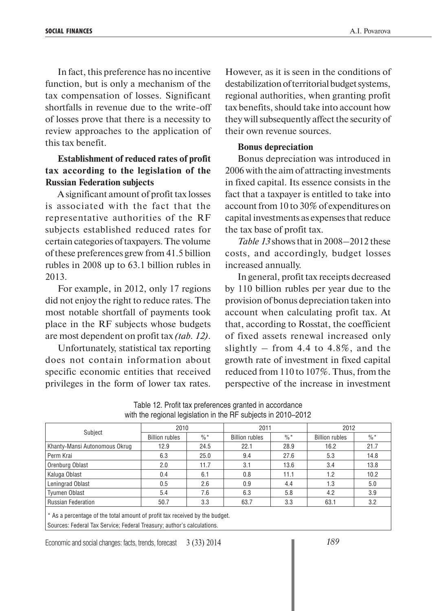In fact, this preference has no incentive function, but is only a mechanism of the tax compensation of losses. Significant shortfalls in revenue due to the write-off of losses prove that there is a necessity to review approaches to the application of this tax benefit.

### **Establishment of reduced rates of profit tax according to the legislation of the Russian Federation subjects**

A significant amount of profit tax losses is associated with the fact that the representative authorities of the RF subjects established reduced rates for certain categories of taxpayers. The volume of these preferences grew from 41.5 billion rubles in 2008 up to 63.1 billion rubles in 2013.

For example, in 2012, only 17 regions did not enjoy the right to reduce rates. The most notable shortfall of payments took place in the RF subjects whose budgets are most dependent on profit tax *(tab. 12)*.

Unfortunately, statistical tax reporting does not contain information about specific economic entities that received privileges in the form of lower tax rates.

However, as it is seen in the conditions of destabilization of territorial budget systems, regional authorities, when granting profit tax benefits, should take into account how they will subsequently affect the security of their own revenue sources.

### **Bonus depreciation**

Bonus depreciation was introduced in 2006 with the aim of attracting investments in fixed capital. Its essence consists in the fact that a taxpayer is entitled to take into account from 10 to 30% of expenditures on capital investments as expenses that reduce the tax base of profit tax.

*Table 13* shows that in 2008–2012 these costs, and accordingly, budget losses increased annually.

In general, profit tax receipts decreased by 110 billion rubles per year due to the provision of bonus depreciation taken into account when calculating profit tax. At that, according to Rosstat, the coefficient of fixed assets renewal increased only slightly – from 4.4 to  $4.8\%$ , and the growth rate of investment in fixed capital reduced from 110 to 107%. Thus, from the perspective of the increase in investment

|                                                                                                                                                       | 2010                  |                 | 2011                  |                 | 2012                  |                 |  |
|-------------------------------------------------------------------------------------------------------------------------------------------------------|-----------------------|-----------------|-----------------------|-----------------|-----------------------|-----------------|--|
| Subject                                                                                                                                               | <b>Billion rubles</b> | $\frac{0}{6}$ * | <b>Billion rubles</b> | $\frac{0}{6}$ * | <b>Billion rubles</b> | $\frac{0}{6}$ * |  |
| Khanty-Mansi Autonomous Okrug                                                                                                                         | 12.9                  | 24.5            | 22.1                  | 28.9            | 16.2                  | 21.7            |  |
| Perm Krai                                                                                                                                             | 6.3                   | 25.0            | 9.4                   | 27.6            | 5.3                   | 14.8            |  |
| Orenburg Oblast                                                                                                                                       | 2.0                   | 11.7            | 3.1                   | 13.6            | 3.4                   | 13.8            |  |
| Kaluga Oblast                                                                                                                                         | 0.4                   | 6.1             | 0.8                   | 11.1            | 1.2                   | 10.2            |  |
| Leningrad Oblast                                                                                                                                      | 0.5                   | 2.6             | 0.9                   | 4.4             | 1.3                   | 5.0             |  |
| Tyumen Oblast                                                                                                                                         | 5.4                   | 7.6             | 6.3                   | 5.8             | 4.2                   | 3.9             |  |
| <b>Russian Federation</b>                                                                                                                             | 50.7                  | 3.3             | 63.7                  | 3.3             | 63.1                  | 3.2             |  |
| * As a percentage of the total amount of profit tax received by the budget.<br>Sources: Federal Tax Service; Federal Treasury; author's calculations. |                       |                 |                       |                 |                       |                 |  |

Table 12. Profit tax preferences granted in accordance with the regional legislation in the RF subjects in 2010–2012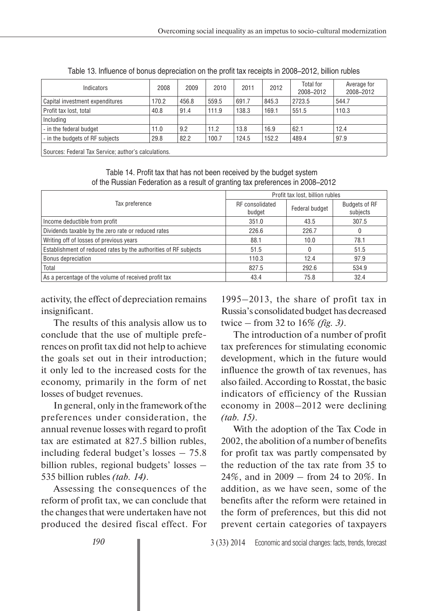| Indicators                                           | 2008  | 2009  | 2010  | 2011  | 2012  | Total for<br>2008-2012 | Average for<br>2008-2012 |
|------------------------------------------------------|-------|-------|-------|-------|-------|------------------------|--------------------------|
| Capital investment expenditures                      | 170.2 | 456.8 | 559.5 | 691.7 | 845.3 | 2723.5                 | 544.7                    |
| Profit tax lost, total                               | 40.8  | 91.4  | 111.9 | 138.3 | 169.1 | 551.5                  | 110.3                    |
| Including                                            |       |       |       |       |       |                        |                          |
| - in the federal budget                              | 11.0  | 9.2   | 11.2  | 13.8  | 16.9  | 62.1                   | 12.4                     |
| - in the budgets of RF subjects                      | 29.8  | 82.2  | 100.7 | 124.5 | 152.2 | 489.4                  | 97.9                     |
| Sources: Federal Tax Service; author's calculations. |       |       |       |       |       |                        |                          |

Table 13. Influence of bonus depreciation on the profit tax receipts in 2008–2012, billion rubles

Table 14. Profit tax that has not been received by the budget system of the Russian Federation as a result of granting tax preferences in 2008–2012

|                                                                  | Profit tax lost, billion rubles |                |                                  |  |  |
|------------------------------------------------------------------|---------------------------------|----------------|----------------------------------|--|--|
| Tax preference                                                   | RF consolidated<br>budget       | Federal budget | <b>Budgets of RF</b><br>subjects |  |  |
| Income deductible from profit                                    | 351.0                           | 43.5           | 307.5                            |  |  |
| Dividends taxable by the zero rate or reduced rates              | 226.6                           | 226.7          | 0                                |  |  |
| Writing off of losses of previous years                          | 88.1                            | 10.0           | 78.1                             |  |  |
| Establishment of reduced rates by the authorities of RF subjects | 51.5                            |                | 51.5                             |  |  |
| Bonus depreciation                                               | 110.3                           | 12.4           | 97.9                             |  |  |
| Total                                                            | 827.5                           | 292.6          | 534.9                            |  |  |
| As a percentage of the volume of received profit tax             | 43.4                            | 75.8           | 32.4                             |  |  |

activity, the effect of depreciation remains insignificant.

The results of this analysis allow us to conclude that the use of multiple preferences on profit tax did not help to achieve the goals set out in their introduction; it only led to the increased costs for the economy, primarily in the form of net losses of budget revenues.

In general, only in the framework of the preferences under consideration, the annual revenue losses with regard to profit tax are estimated at 827.5 billion rubles, including federal budget's losses – 75.8 billion rubles, regional budgets' losses – 535 billion rubles *(tab. 14)*.

Assessing the consequences of the reform of profit tax, we can conclude that the changes that were undertaken have not produced the desired fiscal effect. For

1995–2013, the share of profit tax in Russia's consolidated budget has decreased twice – from 32 to 16% *(fig. 3)*.

The introduction of a number of profit tax preferences for stimulating economic development, which in the future would influence the growth of tax revenues, has also failed. According to Rosstat, the basic indicators of efficiency of the Russian economy in 2008–2012 were declining *(tab. 15)*.

With the adoption of the Tax Code in 2002, the abolition of a number of benefits for profit tax was partly compensated by the reduction of the tax rate from 35 to 24%, and in 2009 – from 24 to 20%. In addition, as we have seen, some of the benefits after the reform were retained in the form of preferences, but this did not prevent certain categories of taxpayers

*190*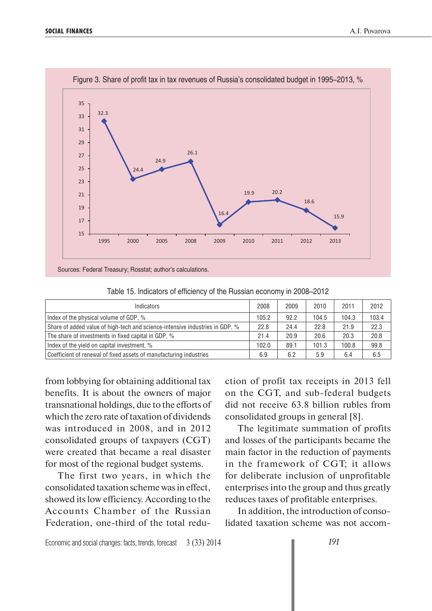

| <b>Indicators</b>                                                            | 2008  | 2009 | 2010  | 2011  | 2012  |
|------------------------------------------------------------------------------|-------|------|-------|-------|-------|
| Index of the physical volume of GDP, %                                       | 105.2 | 92.2 | 104.5 | 104.3 | 103.4 |
| Share of added value of high-tech and science-intensive industries in GDP, % | 22.8  | 24.4 | 22.8  | 21.9  | 22.3  |
| The share of investments in fixed capital in GDP, %                          | 21.4  | 20.9 | 20.6  | 20.3  | 20.8  |
| Index of the yield on capital investment, %                                  | 102.0 | 89.1 | 101.3 | 100.8 | 99.8  |
| Coefficient of renewal of fixed assets of manufacturing industries           | 6.9   | 6.2  | 5.9   | 6.4   | 6.5   |

Table 15. Indicators of efficiency of the Russian economy in 2008–2012

Figure 3. Share of profit tax in tax revenues of Russia's consolidated budget in 1995–2013, %

from lobbying for obtaining additional tax benefits. It is about the owners of major transnational holdings, due to the efforts of which the zero rate of taxation of dividends was introduced in 2008, and in 2012 consolidated groups of taxpayers (CGT) were created that became a real disaster for most of the regional budget systems.

The first two years, in which the consolidated taxation scheme was in effect, showed its low efficiency. According to the Accounts Chamber of the Russian Federation, one-third of the total reduction of profit tax receipts in 2013 fell on the CGT, and sub-federal budgets did not receive 63.8 billion rubles from consolidated groups in general [8].

The legitimate summation of profits and losses of the participants became the main factor in the reduction of payments in the framework of CGT; it allows for deliberate inclusion of unprofitable enterprises into the group and thus greatly reduces taxes of profitable enterprises.

In addition, the introduction of consolidated taxation scheme was not accom-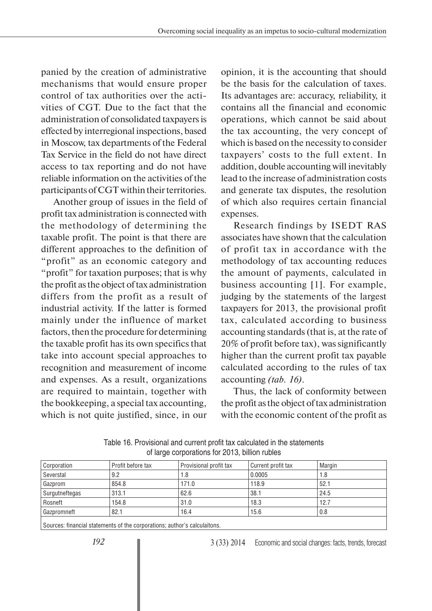panied by the creation of administrative mechanisms that would ensure proper control of tax authorities over the activities of CGT. Due to the fact that the administration of consolidated taxpayers is effected by interregional inspections, based in Moscow, tax departments of the Federal Tax Service in the field do not have direct access to tax reporting and do not have reliable information on the activities of the participants of CGT within their territories.

Another group of issues in the field of profit tax administration is connected with the methodology of determining the taxable profit. The point is that there are different approaches to the definition of "profit" as an economic category and "profit" for taxation purposes; that is why the profit as the object of tax administration differs from the profit as a result of industrial activity. If the latter is formed mainly under the influence of market factors, then the procedure for determining the taxable profit has its own specifics that take into account special approaches to recognition and measurement of income and expenses. As a result, organizations are required to maintain, together with the bookkeeping, a special tax accounting, which is not quite justified, since, in our

opinion, it is the accounting that should be the basis for the calculation of taxes. Its advantages are: accuracy, reliability, it contains all the financial and economic operations, which cannot be said about the tax accounting, the very concept of which is based on the necessity to consider taxpayers' costs to the full extent. In addition, double accounting will inevitably lead to the increase of administration costs and generate tax disputes, the resolution of which also requires certain financial expenses.

Research findings by ISEDT RAS associates have shown that the calculation of profit tax in accordance with the methodology of tax accounting reduces the amount of payments, calculated in business accounting [1]. For example, judging by the statements of the largest taxpayers for 2013, the provisional profit tax, calculated according to business accounting standards (that is, at the rate of 20% of profit before tax), was significantly higher than the current profit tax payable calculated according to the rules of tax accounting *(tab. 16)*.

Thus, the lack of conformity between the profit as the object of tax administration with the economic content of the profit as

| Corporation    | Profit before tax | Provisional profit tax | Current profit tax | Margin |
|----------------|-------------------|------------------------|--------------------|--------|
| Severstal      | 9.2               | 1.8                    | 0.0005             | 1.8    |
| Gazprom        | 854.8             | 171.0                  | 118.9              | 52.1   |
| Surgutneftegas | 313.1             | 62.6                   | 38.1               | 24.5   |
| Rosneft        | 154.8             | 31.0                   | 18.3               | 12.7   |
| Gazpromneft    | 82.1              | 16.4                   | 15.6               | 0.8    |
|                |                   |                        |                    |        |

Table 16. Provisional and current profit tax calculated in the statements of large corporations for 2013, billion rubles

Sources: financial statements of the corporations; author's calculaitons.

3 (33) 2014 Economic and social changes: facts, trends, forecast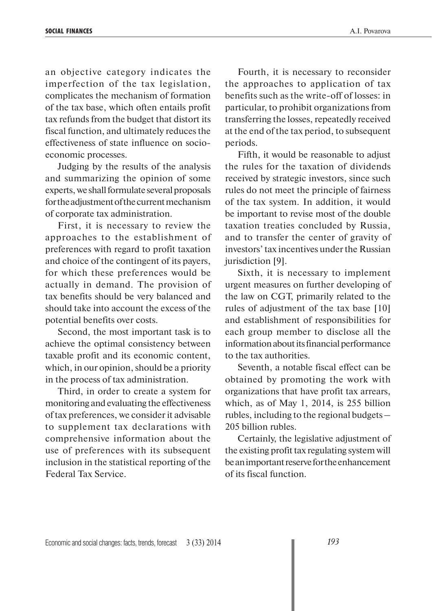an objective category indicates the imperfection of the tax legislation, complicates the mechanism of formation of the tax base, which often entails profit tax refunds from the budget that distort its fiscal function, and ultimately reduces the effectiveness of state influence on socioeconomic processes.

Judging by the results of the analysis and summarizing the opinion of some experts, we shall formulate several proposals for the adjustment of the current mechanism of corporate tax administration.

First, it is necessary to review the approaches to the establishment of preferences with regard to profit taxation and choice of the contingent of its payers, for which these preferences would be actually in demand. The provision of tax benefits should be very balanced and should take into account the excess of the potential benefits over costs.

Second, the most important task is to achieve the optimal consistency between taxable profit and its economic content, which, in our opinion, should be a priority in the process of tax administration.

Third, in order to create a system for monitoring and evaluating the effectiveness of tax preferences, we consider it advisable to supplement tax declarations with comprehensive information about the use of preferences with its subsequent inclusion in the statistical reporting of the Federal Tax Service.

Fourth, it is necessary to reconsider the approaches to application of tax benefits such as the write-off of losses: in particular, to prohibit organizations from transferring the losses, repeatedly received at the end of the tax period, to subsequent periods.

Fifth, it would be reasonable to adjust the rules for the taxation of dividends received by strategic investors, since such rules do not meet the principle of fairness of the tax system. In addition, it would be important to revise most of the double taxation treaties concluded by Russia, and to transfer the center of gravity of investors' tax incentives under the Russian jurisdiction [9].

Sixth, it is necessary to implement urgent measures on further developing of the law on CGT, primarily related to the rules of adjustment of the tax base [10] and establishment of responsibilities for each group member to disclose all the information about its financial performance to the tax authorities.

Seventh, a notable fiscal effect can be obtained by promoting the work with organizations that have profit tax arrears, which, as of May 1, 2014, is 255 billion rubles, including to the regional budgets – 205 billion rubles.

Certainly, the legislative adjustment of the existing profit tax regulating system will be an important reserve for the en hancement of its fiscal function.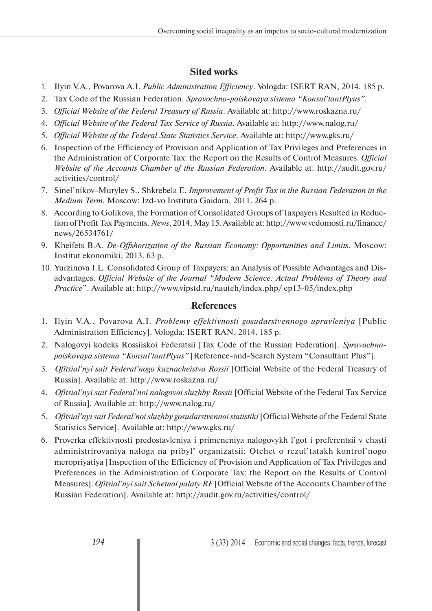# **Sited works**

- 1. Ilyin V.A., Povarova A.I. *Public Administration Efficiency*. Vologda: ISERT RAN, 2014. 185 p.
- 2. Tax Code of the Russian Federation. *Spravochno-poiskovaya sistema "Konsul'tantPlyus"*.
- 3. *Official Website of the Federal Treasury of Russia*. Available at: http://www.roskazna.ru/
- 4. *Official Website of the Federal Tax Service of Russia*. Available at: http://www.nalog.ru/
- 5. *Official Website of the Federal State Statistics Service*. Available at: http://www.gks.ru/
- 6. Inspection of the Efficiency of Provision and Application of Tax Privileges and Preferences in the Administration of Corporate Tax: the Report on the Results of Control Measures. *Official Website of the Accounts Chamber of the Russian Federation*. Available at: http://audit.gov.ru/ activities/control/
- 7. Sinel'nikov-Murylev S., Shkrebela E. *Improvement of Profit Tax in the Russian Federation in the Medium Term.* Moscow: Izd-vo Instituta Gaidara, 2011. 264 p.
- 8. According to Golikova, the Formation of Consolidated Groups of Taxpayers Resulted in Reduction of Profit Tax Payments. *News*, 2014, May 15. Available at: http://www.vedomosti.ru/finance/ news/26534761/
- 9. Kheifets B.A. *De-Offshorization of the Russian Economy: Opportunities and Limits*. Moscow: Institut ekonomiki, 2013. 63 p.
- 10. Yurzinova I.L. Consolidated Group of Taxpayers: an Analysis of Possible Advantages and Disadvantages. *Official Website of the Journal "Modern Science: Actual Problems of Theory and Practice*". Available at: http://www.vipstd.ru/nauteh/index.php/ ep13-05/index.php

# **References**

- 1. Ilyin V.A., Povarova A.I. *Problemy effektivnosti gosudarstvennogo upravleniya* [Public Administration Efficiency]. Vologda: ISERT RAN, 2014. 185 p.
- 2. Nalogovyi kodeks Rossiiskoi Federatsii [Tax Code of the Russian Federation]. *Spravochnopoiskovaya sistema "Konsul'tantPlyus"* [Reference-and-Search System "Consultant Plus"].
- 3. *Ofitsial'nyi sait Federal'nogo kaznacheistva Rossii* [Official Website of the Federal Treasury of Russia]. Available at: http://www.roskazna.ru/
- 4. *Ofitsial'nyi sait Federal'noi nalogovoi sluzhby Rossii* [Official Website of the Federal Tax Service of Russia]. Available at: http://www.nalog.ru/
- 5. *Ofitsial'nyi sait Federal'noi sluzhby gosudarstvennoi statistiki* [Official Website of the Federal State Statistics Service]. Available at: http://www.gks.ru/
- 6. Proverka effektivnosti predostavleniya i primeneniya nalogovykh l'got i preferentsii v chasti administrirovaniya naloga na pribyl' organizatsii: Otchet o rezul'tatakh kontrol'nogo meropriyatiya [Inspection of the Efficiency of Provision and Application of Tax Privileges and Preferences in the Administration of Corporate Tax: the Report on the Results of Control Measures]. *Ofitsial'nyi sait Schetnoi palaty RF* [Official Website of the Accounts Chamber of the Russian Federation]. Available at: http://audit.gov.ru/activities/control/